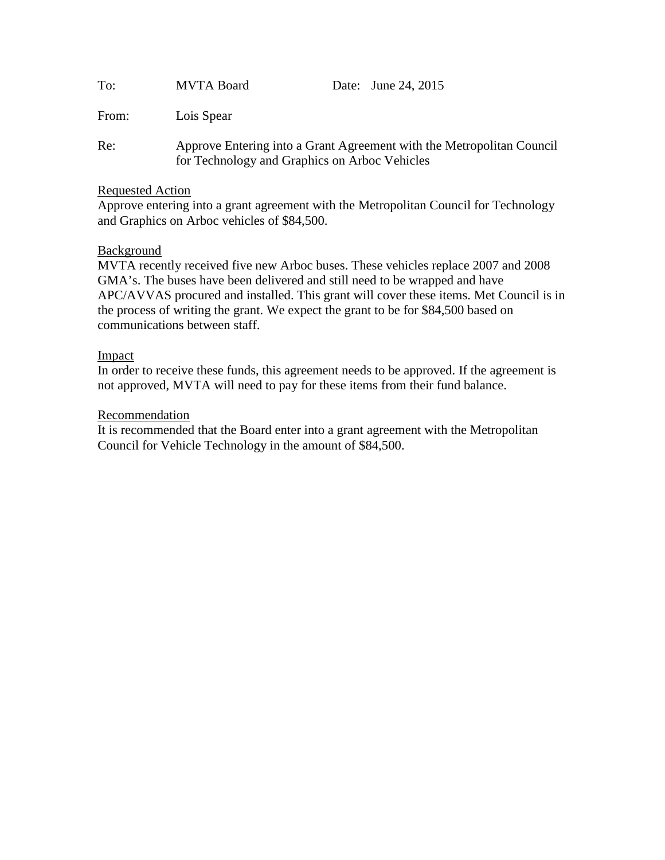| To:   | <b>MVTA Board</b>                                                                                                      | Date: June 24, 2015 |
|-------|------------------------------------------------------------------------------------------------------------------------|---------------------|
| From: | Lois Spear                                                                                                             |                     |
| Re:   | Approve Entering into a Grant Agreement with the Metropolitan Council<br>for Technology and Graphics on Arboc Vehicles |                     |

#### Requested Action

Approve entering into a grant agreement with the Metropolitan Council for Technology and Graphics on Arboc vehicles of \$84,500.

## **Background**

MVTA recently received five new Arboc buses. These vehicles replace 2007 and 2008 GMA's. The buses have been delivered and still need to be wrapped and have APC/AVVAS procured and installed. This grant will cover these items. Met Council is in the process of writing the grant. We expect the grant to be for \$84,500 based on communications between staff.

## Impact

In order to receive these funds, this agreement needs to be approved. If the agreement is not approved, MVTA will need to pay for these items from their fund balance.

#### Recommendation

It is recommended that the Board enter into a grant agreement with the Metropolitan Council for Vehicle Technology in the amount of \$84,500.